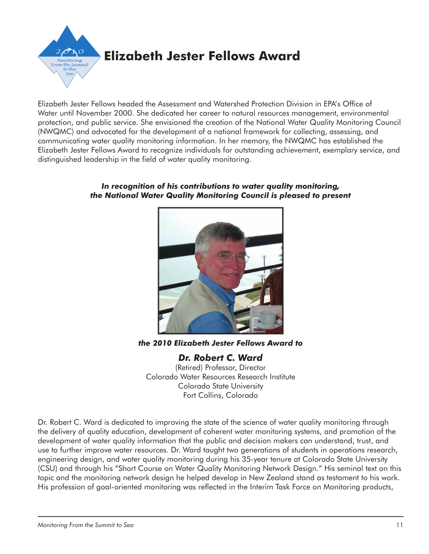

Elizabeth Jester Fellows headed the Assessment and Watershed Protection Division in EPA's Office of Water until November 2000. She dedicated her career to natural resources management, environmental protection, and public service. She envisioned the creation of the National Water Quality Monitoring Council (NWQMC) and advocated for the development of a national framework for collecting, assessing, and communicating water quality monitoring information. In her memory, the NWQMC has established the Elizabeth Jester Fellows Award to recognize individuals for outstanding achievement, exemplary service, and distinguished leadership in the field of water quality monitoring.

## *In recognition of his contributions to water quality monitoring, the National Water Quality Monitoring Council is pleased to present*



*the 2010 Elizabeth Jester Fellows Award to*

*Dr. Robert C. Ward* (Retired) Professor, Director Colorado Water Resources Research Institute Colorado State University Fort Collins, Colorado

Dr. Robert C. Ward is dedicated to improving the state of the science of water quality monitoring through the delivery of quality education, development of coherent water monitoring systems, and promotion of the development of water quality information that the public and decision makers can understand, trust, and use to further improve water resources. Dr. Ward taught two generations of students in operations research, engineering design, and water quality monitoring during his 35-year tenure at Colorado State University (CSU) and through his "Short Course on Water Quality Monitoring Network Design." His seminal text on this topic and the monitoring network design he helped develop in New Zealand stand as testament to his work. His profession of goal-oriented monitoring was reflected in the Interim Task Force on Monitoring products,